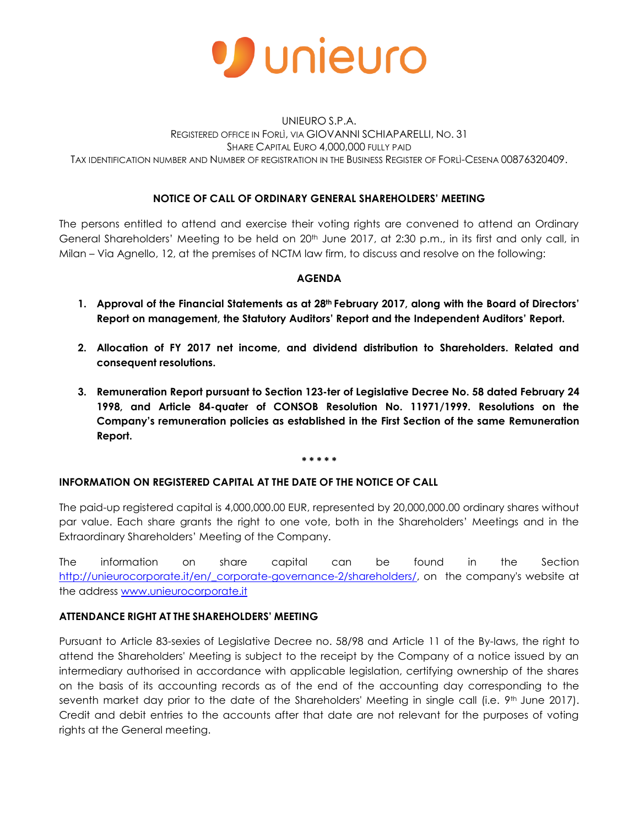

## UNIEURO S.P.A. REGISTERED OFFICE IN FORLÌ, VIA GIOVANNI SCHIAPARELLI, NO. 31 SHARE CAPITAL EURO 4,000,000 FULLY PAID TAX IDENTIFICATION NUMBER AND NUMBER OF REGISTRATION IN THE BUSINESS REGISTER OF FORLÌ-CESENA 00876320409.

# **NOTICE OF CALL OF ORDINARY GENERAL SHAREHOLDERS' MEETING**

The persons entitled to attend and exercise their voting rights are convened to attend an Ordinary General Shareholders' Meeting to be held on 20<sup>th</sup> June 2017, at 2:30 p.m., in its first and only call, in Milan – Via Agnello, 12, at the premises of NCTM law firm, to discuss and resolve on the following:

#### **AGENDA**

- **1. Approval of the Financial Statements as at 28th February 2017, along with the Board of Directors' Report on management, the Statutory Auditors' Report and the Independent Auditors' Report.**
- **2. Allocation of FY 2017 net income, and dividend distribution to Shareholders. Related and consequent resolutions.**
- **3. Remuneration Report pursuant to Section 123-ter of Legislative Decree No. 58 dated February 24 1998, and Article 84-quater of CONSOB Resolution No. 11971/1999. Resolutions on the Company's remuneration policies as established in the First Section of the same Remuneration Report.**

#### **\* \* \* \* \***

## **INFORMATION ON REGISTERED CAPITAL AT THE DATE OF THE NOTICE OF CALL**

The paid-up registered capital is 4,000,000.00 EUR, represented by 20,000,000.00 ordinary shares without par value. Each share grants the right to one vote, both in the Shareholders' Meetings and in the Extraordinary Shareholders' Meeting of the Company.

The information on share capital can be found in the Section [http://unieurocorporate.it/en/\\_corporate-governance-2/shareholders/,](http://unieurocorporate.it/en/_corporate-governance-2/shareholders/) on the company's website at the address [www.unieurocorporate.it](http://www.unieurocorporate.it/)

## **ATTENDANCE RIGHT AT THE SHAREHOLDERS' MEETING**

Pursuant to Article 83-sexies of Legislative Decree no. 58/98 and Article 11 of the By-laws, the right to attend the Shareholders' Meeting is subject to the receipt by the Company of a notice issued by an intermediary authorised in accordance with applicable legislation, certifying ownership of the shares on the basis of its accounting records as of the end of the accounting day corresponding to the seventh market day prior to the date of the Shareholders' Meeting in single call (i.e. 9<sup>th</sup> June 2017). Credit and debit entries to the accounts after that date are not relevant for the purposes of voting rights at the General meeting.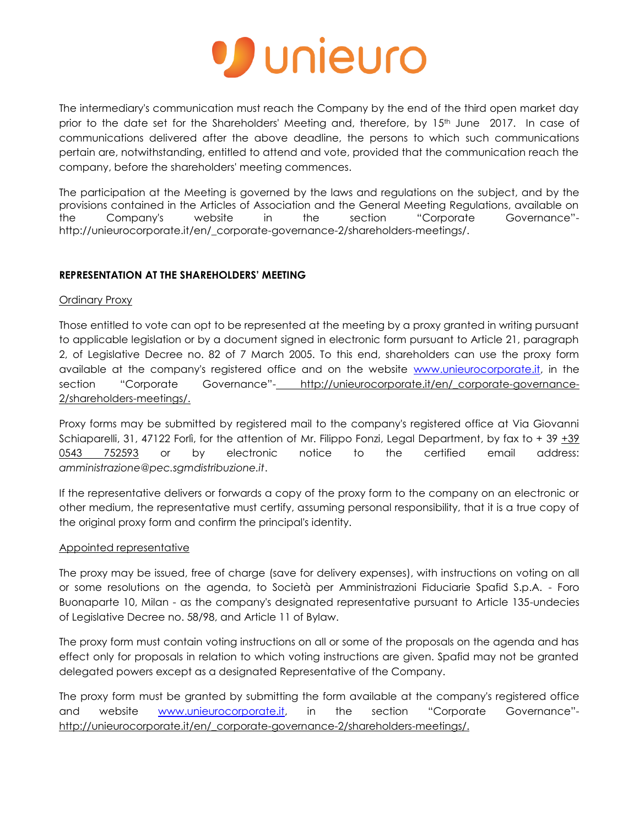

The intermediary's communication must reach the Company by the end of the third open market day prior to the date set for the Shareholders' Meeting and, therefore, by 15<sup>th</sup> June 2017. In case of communications delivered after the above deadline, the persons to which such communications pertain are, notwithstanding, entitled to attend and vote, provided that the communication reach the company, before the shareholders' meeting commences.

The participation at the Meeting is governed by the laws and regulations on the subject, and by the provisions contained in the Articles of Association and the General Meeting Regulations, available on the Company's website in the section "Corporate Governance" http://unieurocorporate.it/en/\_corporate-governance-2/shareholders-meetings/.

## **REPRESENTATION AT THE SHAREHOLDERS' MEETING**

## Ordinary Proxy

Those entitled to vote can opt to be represented at the meeting by a proxy granted in writing pursuant to applicable legislation or by a document signed in electronic form pursuant to Article 21, paragraph 2, of Legislative Decree no. 82 of 7 March 2005. To this end, shareholders can use the proxy form available at the company's registered office and on the website [www.unieurocorporate.it,](http://www.unieurocorporate.it/) in the section "Corporate Governance"- http://unieurocorporate.it/en/ corporate-governance-2/shareholders-meetings/.

Proxy forms may be submitted by registered mail to the company's registered office at Via Giovanni Schiaparelli, 31, 47122 Forlì, for the attention of Mr. Filippo Fonzi, Legal Department, by fax to + 39  $\pm 39$ 0543 752593 or by electronic notice to the certified email address: *amministrazione@pec.sgmdistribuzione.it*.

If the representative delivers or forwards a copy of the proxy form to the company on an electronic or other medium, the representative must certify, assuming personal responsibility, that it is a true copy of the original proxy form and confirm the principal's identity.

## Appointed representative

The proxy may be issued, free of charge (save for delivery expenses), with instructions on voting on all or some resolutions on the agenda, to Società per Amministrazioni Fiduciarie Spafid S.p.A. - Foro Buonaparte 10, Milan - as the company's designated representative pursuant to Article 135-undecies of Legislative Decree no. 58/98, and Article 11 of Bylaw.

The proxy form must contain voting instructions on all or some of the proposals on the agenda and has effect only for proposals in relation to which voting instructions are given. Spafid may not be granted delegated powers except as a designated Representative of the Company.

The proxy form must be granted by submitting the form available at the company's registered office and website [www.unieurocorporate.it,](http://www.unieurocorporate.it/) in the section "Corporate Governance"http://unieurocorporate.it/en/\_corporate-governance-2/shareholders-meetings/.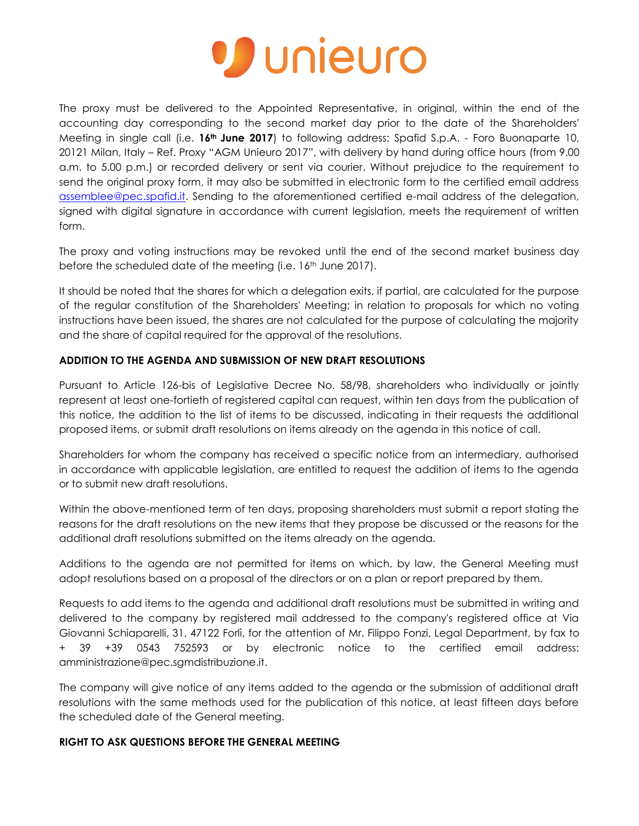

The proxy must be delivered to the Appointed Representative, in original, within the end of the accounting day corresponding to the second market day prior to the date of the Shareholders' Meeting in single call (i.e. **16th June 2017**) to following address: Spafid S.p.A. - Foro Buonaparte 10, 20121 Milan, Italy – Ref. Proxy "AGM Unieuro 2017", with delivery by hand during office hours (from 9.00 a.m. to 5.00 p.m.) or recorded delivery or sent via courier. Without prejudice to the requirement to send the original proxy form, it may also be submitted in electronic form to the certified email address [assemblee@pec.spafid.it.](mailto:assemblee@pec.spafid.it) Sending to the aforementioned certified e-mail address of the delegation, signed with digital signature in accordance with current legislation, meets the requirement of written form.

The proxy and voting instructions may be revoked until the end of the second market business day before the scheduled date of the meeting (i.e. 16<sup>th</sup> June 2017).

It should be noted that the shares for which a delegation exits, if partial, are calculated for the purpose of the regular constitution of the Shareholders' Meeting; in relation to proposals for which no voting instructions have been issued, the shares are not calculated for the purpose of calculating the majority and the share of capital required for the approval of the resolutions.

## **ADDITION TO THE AGENDA AND SUBMISSION OF NEW DRAFT RESOLUTIONS**

Pursuant to Article 126-bis of Legislative Decree No. 58/98, shareholders who individually or jointly represent at least one-fortieth of registered capital can request, within ten days from the publication of this notice, the addition to the list of items to be discussed, indicating in their requests the additional proposed items, or submit draft resolutions on items already on the agenda in this notice of call.

Shareholders for whom the company has received a specific notice from an intermediary, authorised in accordance with applicable legislation, are entitled to request the addition of items to the agenda or to submit new draft resolutions.

Within the above-mentioned term of ten days, proposing shareholders must submit a report stating the reasons for the draft resolutions on the new items that they propose be discussed or the reasons for the additional draft resolutions submitted on the items already on the agenda.

Additions to the agenda are not permitted for items on which, by law, the General Meeting must adopt resolutions based on a proposal of the directors or on a plan or report prepared by them.

Requests to add items to the agenda and additional draft resolutions must be submitted in writing and delivered to the company by registered mail addressed to the company's registered office at Via Giovanni Schiaparelli, 31, 47122 Forlì, for the attention of Mr. Filippo Fonzi, Legal Department, by fax to + 39 +39 0543 752593 or by electronic notice to the certified email address: amministrazione@pec.sgmdistribuzione.it.

The company will give notice of any items added to the agenda or the submission of additional draft resolutions with the same methods used for the publication of this notice, at least fifteen days before the scheduled date of the General meeting.

## **RIGHT TO ASK QUESTIONS BEFORE THE GENERAL MEETING**